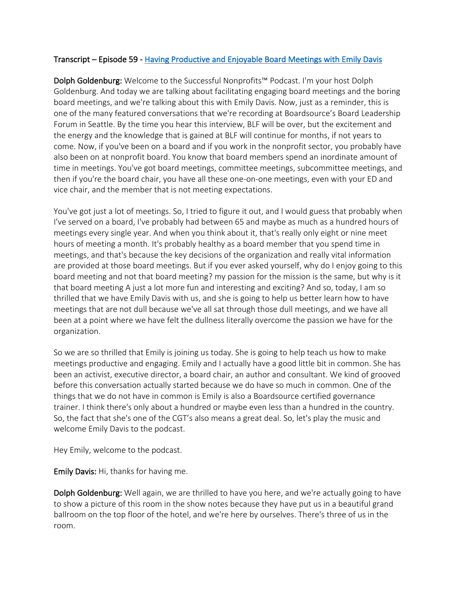## Transcript – Episode 59 - Having Productive and Enjoyable Board Meetings with Emily Davis

Dolph Goldenburg: Welcome to the Successful Nonprofits™ Podcast. I'm your host Dolph Goldenburg. And today we are talking about facilitating engaging board meetings and the boring board meetings, and we're talking about this with Emily Davis. Now, just as a reminder, this is one of the many featured conversations that we're recording at Boardsource's Board Leadership Forum in Seattle. By the time you hear this interview, BLF will be over, but the excitement and the energy and the knowledge that is gained at BLF will continue for months, if not years to come. Now, if you've been on a board and if you work in the nonprofit sector, you probably have also been on at nonprofit board. You know that board members spend an inordinate amount of time in meetings. You've got board meetings, committee meetings, subcommittee meetings, and then if you're the board chair, you have all these one-on-one meetings, even with your ED and vice chair, and the member that is not meeting expectations.

You've got just a lot of meetings. So, I tried to figure it out, and I would guess that probably when I've served on a board, I've probably had between 65 and maybe as much as a hundred hours of meetings every single year. And when you think about it, that's really only eight or nine meet hours of meeting a month. It's probably healthy as a board member that you spend time in meetings, and that's because the key decisions of the organization and really vital information are provided at those board meetings. But if you ever asked yourself, why do I enjoy going to this board meeting and not that board meeting? my passion for the mission is the same, but why is it that board meeting A just a lot more fun and interesting and exciting? And so, today, I am so thrilled that we have Emily Davis with us, and she is going to help us better learn how to have meetings that are not dull because we've all sat through those dull meetings, and we have all been at a point where we have felt the dullness literally overcome the passion we have for the organization.

So we are so thrilled that Emily is joining us today. She is going to help teach us how to make meetings productive and engaging. Emily and I actually have a good little bit in common. She has been an activist, executive director, a board chair, an author and consultant. We kind of grooved before this conversation actually started because we do have so much in common. One of the things that we do not have in common is Emily is also a Boardsource certified governance trainer. I think there's only about a hundred or maybe even less than a hundred in the country. So, the fact that she's one of the CGT's also means a great deal. So, let's play the music and welcome Emily Davis to the podcast.

Hey Emily, welcome to the podcast.

Emily Davis: Hi, thanks for having me.

Dolph Goldenburg: Well again, we are thrilled to have you here, and we're actually going to have to show a picture of this room in the show notes because they have put us in a beautiful grand ballroom on the top floor of the hotel, and we're here by ourselves. There's three of us in the room.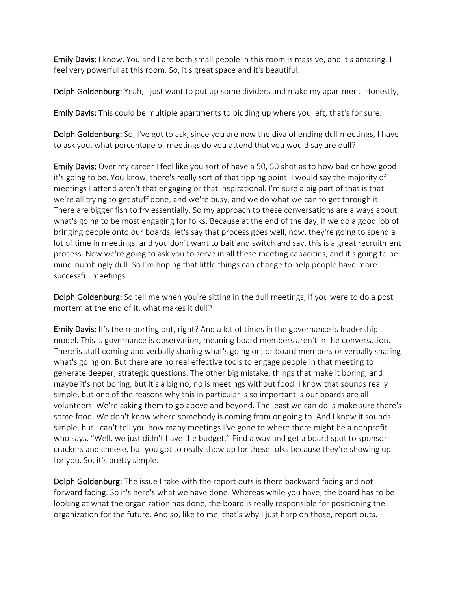**Emily Davis:** I know. You and I are both small people in this room is massive, and it's amazing. I feel very powerful at this room. So, it's great space and it's beautiful.

Dolph Goldenburg: Yeah, I just want to put up some dividers and make my apartment. Honestly,

Emily Davis: This could be multiple apartments to bidding up where you left, that's for sure.

Dolph Goldenburg: So, I've got to ask, since you are now the diva of ending dull meetings, I have to ask you, what percentage of meetings do you attend that you would say are dull?

Emily Davis: Over my career I feel like you sort of have a 50, 50 shot as to how bad or how good it's going to be. You know, there's really sort of that tipping point. I would say the majority of meetings I attend aren't that engaging or that inspirational. I'm sure a big part of that is that we're all trying to get stuff done, and we're busy, and we do what we can to get through it. There are bigger fish to fry essentially. So my approach to these conversations are always about what's going to be most engaging for folks. Because at the end of the day, if we do a good job of bringing people onto our boards, let's say that process goes well, now, they're going to spend a lot of time in meetings, and you don't want to bait and switch and say, this is a great recruitment process. Now we're going to ask you to serve in all these meeting capacities, and it's going to be mind-numbingly dull. So I'm hoping that little things can change to help people have more successful meetings.

Dolph Goldenburg: So tell me when you're sitting in the dull meetings, if you were to do a post mortem at the end of it, what makes it dull?

Emily Davis: It's the reporting out, right? And a lot of times in the governance is leadership model. This is governance is observation, meaning board members aren't in the conversation. There is staff coming and verbally sharing what's going on, or board members or verbally sharing what's going on. But there are no real effective tools to engage people in that meeting to generate deeper, strategic questions. The other big mistake, things that make it boring, and maybe it's not boring, but it's a big no, no is meetings without food. I know that sounds really simple, but one of the reasons why this in particular is so important is our boards are all volunteers. We're asking them to go above and beyond. The least we can do is make sure there's some food. We don't know where somebody is coming from or going to. And I know it sounds simple, but I can't tell you how many meetings I've gone to where there might be a nonprofit who says, "Well, we just didn't have the budget." Find a way and get a board spot to sponsor crackers and cheese, but you got to really show up for these folks because they're showing up for you. So, it's pretty simple.

Dolph Goldenburg: The issue I take with the report outs is there backward facing and not forward facing. So it's here's what we have done. Whereas while you have, the board has to be looking at what the organization has done, the board is really responsible for positioning the organization for the future. And so, like to me, that's why I just harp on those, report outs.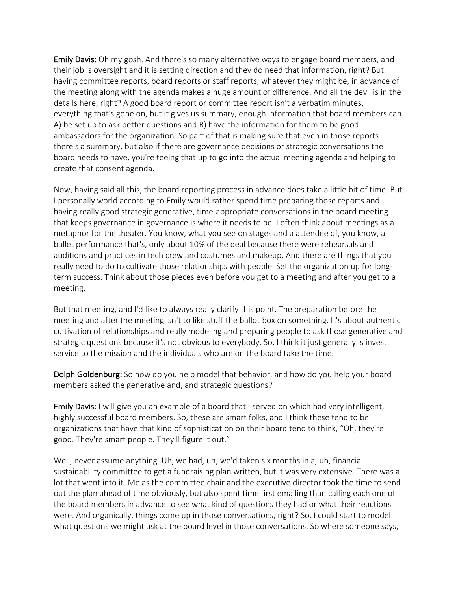**Emily Davis:** Oh my gosh. And there's so many alternative ways to engage board members, and their job is oversight and it is setting direction and they do need that information, right? But having committee reports, board reports or staff reports, whatever they might be, in advance of the meeting along with the agenda makes a huge amount of difference. And all the devil is in the details here, right? A good board report or committee report isn't a verbatim minutes, everything that's gone on, but it gives us summary, enough information that board members can A) be set up to ask better questions and B) have the information for them to be good ambassadors for the organization. So part of that is making sure that even in those reports there's a summary, but also if there are governance decisions or strategic conversations the board needs to have, you're teeing that up to go into the actual meeting agenda and helping to create that consent agenda.

Now, having said all this, the board reporting process in advance does take a little bit of time. But I personally world according to Emily would rather spend time preparing those reports and having really good strategic generative, time-appropriate conversations in the board meeting that keeps governance in governance is where it needs to be. I often think about meetings as a metaphor for the theater. You know, what you see on stages and a attendee of, you know, a ballet performance that's, only about 10% of the deal because there were rehearsals and auditions and practices in tech crew and costumes and makeup. And there are things that you really need to do to cultivate those relationships with people. Set the organization up for longterm success. Think about those pieces even before you get to a meeting and after you get to a meeting.

But that meeting, and I'd like to always really clarify this point. The preparation before the meeting and after the meeting isn't to like stuff the ballot box on something. It's about authentic cultivation of relationships and really modeling and preparing people to ask those generative and strategic questions because it's not obvious to everybody. So, I think it just generally is invest service to the mission and the individuals who are on the board take the time.

Dolph Goldenburg: So how do you help model that behavior, and how do you help your board members asked the generative and, and strategic questions?

**Emily Davis:** I will give you an example of a board that I served on which had very intelligent, highly successful board members. So, these are smart folks, and I think these tend to be organizations that have that kind of sophistication on their board tend to think, "Oh, they're good. They're smart people. They'll figure it out."

Well, never assume anything. Uh, we had, uh, we'd taken six months in a, uh, financial sustainability committee to get a fundraising plan written, but it was very extensive. There was a lot that went into it. Me as the committee chair and the executive director took the time to send out the plan ahead of time obviously, but also spent time first emailing than calling each one of the board members in advance to see what kind of questions they had or what their reactions were. And organically, things come up in those conversations, right? So, I could start to model what questions we might ask at the board level in those conversations. So where someone says,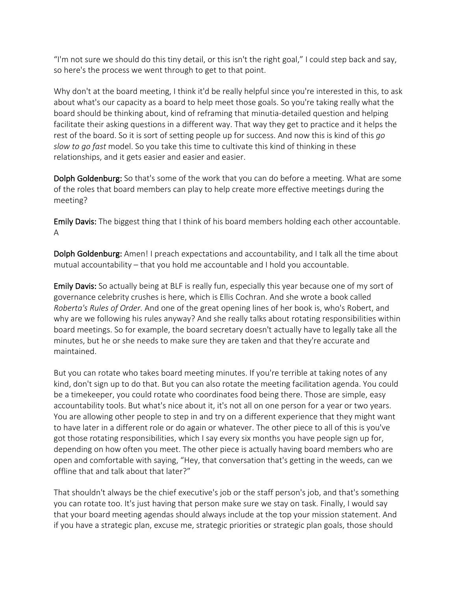"I'm not sure we should do this tiny detail, or this isn't the right goal," I could step back and say, so here's the process we went through to get to that point.

Why don't at the board meeting, I think it'd be really helpful since you're interested in this, to ask about what's our capacity as a board to help meet those goals. So you're taking really what the board should be thinking about, kind of reframing that minutia-detailed question and helping facilitate their asking questions in a different way. That way they get to practice and it helps the rest of the board. So it is sort of setting people up for success. And now this is kind of this *go slow to go fast* model. So you take this time to cultivate this kind of thinking in these relationships, and it gets easier and easier and easier.

Dolph Goldenburg: So that's some of the work that you can do before a meeting. What are some of the roles that board members can play to help create more effective meetings during the meeting?

Emily Davis: The biggest thing that I think of his board members holding each other accountable. A

Dolph Goldenburg: Amen! I preach expectations and accountability, and I talk all the time about mutual accountability – that you hold me accountable and I hold you accountable.

Emily Davis: So actually being at BLF is really fun, especially this year because one of my sort of governance celebrity crushes is here, which is Ellis Cochran. And she wrote a book called *Roberta's Rules of Order.* And one of the great opening lines of her book is, who's Robert, and why are we following his rules anyway? And she really talks about rotating responsibilities within board meetings. So for example, the board secretary doesn't actually have to legally take all the minutes, but he or she needs to make sure they are taken and that they're accurate and maintained.

But you can rotate who takes board meeting minutes. If you're terrible at taking notes of any kind, don't sign up to do that. But you can also rotate the meeting facilitation agenda. You could be a timekeeper, you could rotate who coordinates food being there. Those are simple, easy accountability tools. But what's nice about it, it's not all on one person for a year or two years. You are allowing other people to step in and try on a different experience that they might want to have later in a different role or do again or whatever. The other piece to all of this is you've got those rotating responsibilities, which I say every six months you have people sign up for, depending on how often you meet. The other piece is actually having board members who are open and comfortable with saying, "Hey, that conversation that's getting in the weeds, can we offline that and talk about that later?"

That shouldn't always be the chief executive's job or the staff person's job, and that's something you can rotate too. It's just having that person make sure we stay on task. Finally, I would say that your board meeting agendas should always include at the top your mission statement. And if you have a strategic plan, excuse me, strategic priorities or strategic plan goals, those should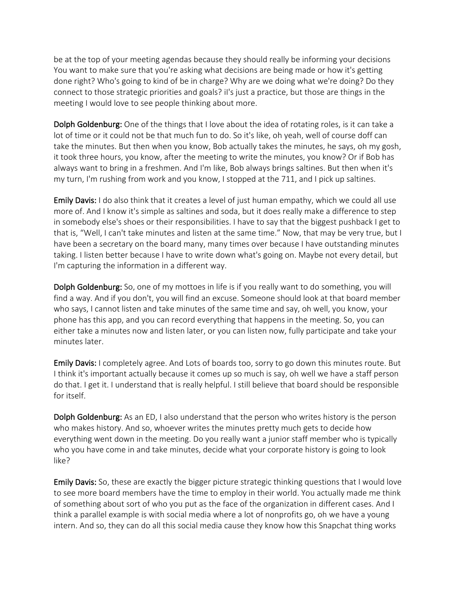be at the top of your meeting agendas because they should really be informing your decisions You want to make sure that you're asking what decisions are being made or how it's getting done right? Who's going to kind of be in charge? Why are we doing what we're doing? Do they connect to those strategic priorities and goals? iI's just a practice, but those are things in the meeting I would love to see people thinking about more.

Dolph Goldenburg: One of the things that I love about the idea of rotating roles, is it can take a lot of time or it could not be that much fun to do. So it's like, oh yeah, well of course doff can take the minutes. But then when you know, Bob actually takes the minutes, he says, oh my gosh, it took three hours, you know, after the meeting to write the minutes, you know? Or if Bob has always want to bring in a freshmen. And I'm like, Bob always brings saltines. But then when it's my turn, I'm rushing from work and you know, I stopped at the 711, and I pick up saltines.

Emily Davis: I do also think that it creates a level of just human empathy, which we could all use more of. And I know it's simple as saltines and soda, but it does really make a difference to step in somebody else's shoes or their responsibilities. I have to say that the biggest pushback I get to that is, "Well, I can't take minutes and listen at the same time." Now, that may be very true, but I have been a secretary on the board many, many times over because I have outstanding minutes taking. I listen better because I have to write down what's going on. Maybe not every detail, but I'm capturing the information in a different way.

Dolph Goldenburg: So, one of my mottoes in life is if you really want to do something, you will find a way. And if you don't, you will find an excuse. Someone should look at that board member who says, I cannot listen and take minutes of the same time and say, oh well, you know, your phone has this app, and you can record everything that happens in the meeting. So, you can either take a minutes now and listen later, or you can listen now, fully participate and take your minutes later.

Emily Davis: I completely agree. And Lots of boards too, sorry to go down this minutes route. But I think it's important actually because it comes up so much is say, oh well we have a staff person do that. I get it. I understand that is really helpful. I still believe that board should be responsible for itself.

Dolph Goldenburg: As an ED, I also understand that the person who writes history is the person who makes history. And so, whoever writes the minutes pretty much gets to decide how everything went down in the meeting. Do you really want a junior staff member who is typically who you have come in and take minutes, decide what your corporate history is going to look like?

Emily Davis: So, these are exactly the bigger picture strategic thinking questions that I would love to see more board members have the time to employ in their world. You actually made me think of something about sort of who you put as the face of the organization in different cases. And I think a parallel example is with social media where a lot of nonprofits go, oh we have a young intern. And so, they can do all this social media cause they know how this Snapchat thing works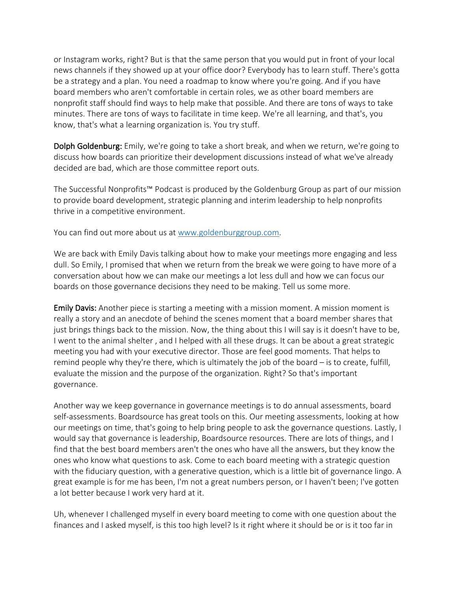or Instagram works, right? But is that the same person that you would put in front of your local news channels if they showed up at your office door? Everybody has to learn stuff. There's gotta be a strategy and a plan. You need a roadmap to know where you're going. And if you have board members who aren't comfortable in certain roles, we as other board members are nonprofit staff should find ways to help make that possible. And there are tons of ways to take minutes. There are tons of ways to facilitate in time keep. We're all learning, and that's, you know, that's what a learning organization is. You try stuff.

Dolph Goldenburg: Emily, we're going to take a short break, and when we return, we're going to discuss how boards can prioritize their development discussions instead of what we've already decided are bad, which are those committee report outs.

The Successful Nonprofits™ Podcast is produced by the Goldenburg Group as part of our mission to provide board development, strategic planning and interim leadership to help nonprofits thrive in a competitive environment.

You can find out more about us at www.goldenburggroup.com.

We are back with Emily Davis talking about how to make your meetings more engaging and less dull. So Emily, I promised that when we return from the break we were going to have more of a conversation about how we can make our meetings a lot less dull and how we can focus our boards on those governance decisions they need to be making. Tell us some more.

**Emily Davis:** Another piece is starting a meeting with a mission moment. A mission moment is really a story and an anecdote of behind the scenes moment that a board member shares that just brings things back to the mission. Now, the thing about this I will say is it doesn't have to be, I went to the animal shelter , and I helped with all these drugs. It can be about a great strategic meeting you had with your executive director. Those are feel good moments. That helps to remind people why they're there, which is ultimately the job of the board – is to create, fulfill, evaluate the mission and the purpose of the organization. Right? So that's important governance.

Another way we keep governance in governance meetings is to do annual assessments, board self-assessments. Boardsource has great tools on this. Our meeting assessments, looking at how our meetings on time, that's going to help bring people to ask the governance questions. Lastly, I would say that governance is leadership, Boardsource resources. There are lots of things, and I find that the best board members aren't the ones who have all the answers, but they know the ones who know what questions to ask. Come to each board meeting with a strategic question with the fiduciary question, with a generative question, which is a little bit of governance lingo. A great example is for me has been, I'm not a great numbers person, or I haven't been; I've gotten a lot better because I work very hard at it.

Uh, whenever I challenged myself in every board meeting to come with one question about the finances and I asked myself, is this too high level? Is it right where it should be or is it too far in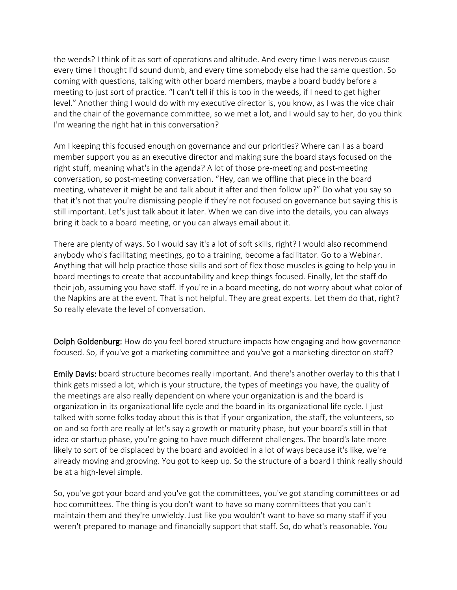the weeds? I think of it as sort of operations and altitude. And every time I was nervous cause every time I thought I'd sound dumb, and every time somebody else had the same question. So coming with questions, talking with other board members, maybe a board buddy before a meeting to just sort of practice. "I can't tell if this is too in the weeds, if I need to get higher level." Another thing I would do with my executive director is, you know, as I was the vice chair and the chair of the governance committee, so we met a lot, and I would say to her, do you think I'm wearing the right hat in this conversation?

Am I keeping this focused enough on governance and our priorities? Where can I as a board member support you as an executive director and making sure the board stays focused on the right stuff, meaning what's in the agenda? A lot of those pre-meeting and post-meeting conversation, so post-meeting conversation. "Hey, can we offline that piece in the board meeting, whatever it might be and talk about it after and then follow up?" Do what you say so that it's not that you're dismissing people if they're not focused on governance but saying this is still important. Let's just talk about it later. When we can dive into the details, you can always bring it back to a board meeting, or you can always email about it.

There are plenty of ways. So I would say it's a lot of soft skills, right? I would also recommend anybody who's facilitating meetings, go to a training, become a facilitator. Go to a Webinar. Anything that will help practice those skills and sort of flex those muscles is going to help you in board meetings to create that accountability and keep things focused. Finally, let the staff do their job, assuming you have staff. If you're in a board meeting, do not worry about what color of the Napkins are at the event. That is not helpful. They are great experts. Let them do that, right? So really elevate the level of conversation.

Dolph Goldenburg: How do you feel bored structure impacts how engaging and how governance focused. So, if you've got a marketing committee and you've got a marketing director on staff?

Emily Davis: board structure becomes really important. And there's another overlay to this that I think gets missed a lot, which is your structure, the types of meetings you have, the quality of the meetings are also really dependent on where your organization is and the board is organization in its organizational life cycle and the board in its organizational life cycle. I just talked with some folks today about this is that if your organization, the staff, the volunteers, so on and so forth are really at let's say a growth or maturity phase, but your board's still in that idea or startup phase, you're going to have much different challenges. The board's late more likely to sort of be displaced by the board and avoided in a lot of ways because it's like, we're already moving and grooving. You got to keep up. So the structure of a board I think really should be at a high-level simple.

So, you've got your board and you've got the committees, you've got standing committees or ad hoc committees. The thing is you don't want to have so many committees that you can't maintain them and they're unwieldy. Just like you wouldn't want to have so many staff if you weren't prepared to manage and financially support that staff. So, do what's reasonable. You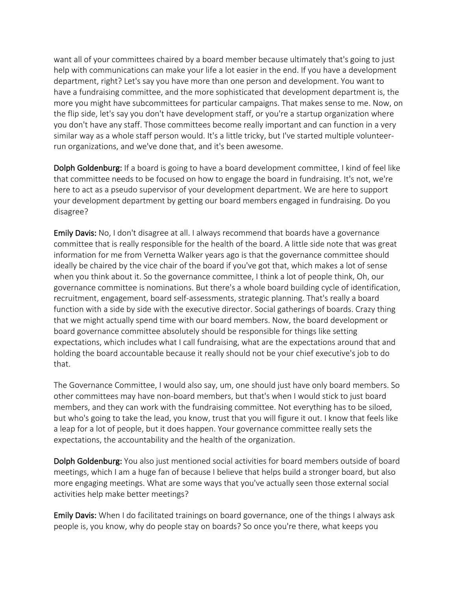want all of your committees chaired by a board member because ultimately that's going to just help with communications can make your life a lot easier in the end. If you have a development department, right? Let's say you have more than one person and development. You want to have a fundraising committee, and the more sophisticated that development department is, the more you might have subcommittees for particular campaigns. That makes sense to me. Now, on the flip side, let's say you don't have development staff, or you're a startup organization where you don't have any staff. Those committees become really important and can function in a very similar way as a whole staff person would. It's a little tricky, but I've started multiple volunteerrun organizations, and we've done that, and it's been awesome.

Dolph Goldenburg: If a board is going to have a board development committee, I kind of feel like that committee needs to be focused on how to engage the board in fundraising. It's not, we're here to act as a pseudo supervisor of your development department. We are here to support your development department by getting our board members engaged in fundraising. Do you disagree?

Emily Davis: No, I don't disagree at all. I always recommend that boards have a governance committee that is really responsible for the health of the board. A little side note that was great information for me from Vernetta Walker years ago is that the governance committee should ideally be chaired by the vice chair of the board if you've got that, which makes a lot of sense when you think about it. So the governance committee, I think a lot of people think, Oh, our governance committee is nominations. But there's a whole board building cycle of identification, recruitment, engagement, board self-assessments, strategic planning. That's really a board function with a side by side with the executive director. Social gatherings of boards. Crazy thing that we might actually spend time with our board members. Now, the board development or board governance committee absolutely should be responsible for things like setting expectations, which includes what I call fundraising, what are the expectations around that and holding the board accountable because it really should not be your chief executive's job to do that.

The Governance Committee, I would also say, um, one should just have only board members. So other committees may have non-board members, but that's when I would stick to just board members, and they can work with the fundraising committee. Not everything has to be siloed, but who's going to take the lead, you know, trust that you will figure it out. I know that feels like a leap for a lot of people, but it does happen. Your governance committee really sets the expectations, the accountability and the health of the organization.

Dolph Goldenburg: You also just mentioned social activities for board members outside of board meetings, which I am a huge fan of because I believe that helps build a stronger board, but also more engaging meetings. What are some ways that you've actually seen those external social activities help make better meetings?

**Emily Davis:** When I do facilitated trainings on board governance, one of the things I always ask people is, you know, why do people stay on boards? So once you're there, what keeps you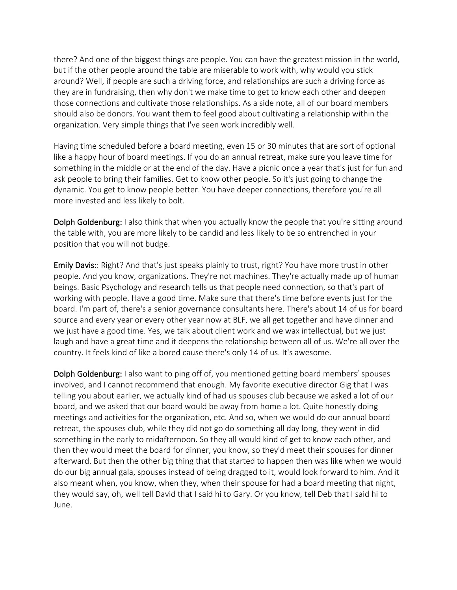there? And one of the biggest things are people. You can have the greatest mission in the world, but if the other people around the table are miserable to work with, why would you stick around? Well, if people are such a driving force, and relationships are such a driving force as they are in fundraising, then why don't we make time to get to know each other and deepen those connections and cultivate those relationships. As a side note, all of our board members should also be donors. You want them to feel good about cultivating a relationship within the organization. Very simple things that I've seen work incredibly well.

Having time scheduled before a board meeting, even 15 or 30 minutes that are sort of optional like a happy hour of board meetings. If you do an annual retreat, make sure you leave time for something in the middle or at the end of the day. Have a picnic once a year that's just for fun and ask people to bring their families. Get to know other people. So it's just going to change the dynamic. You get to know people better. You have deeper connections, therefore you're all more invested and less likely to bolt.

Dolph Goldenburg: I also think that when you actually know the people that you're sitting around the table with, you are more likely to be candid and less likely to be so entrenched in your position that you will not budge.

Emily Davis:: Right? And that's just speaks plainly to trust, right? You have more trust in other people. And you know, organizations. They're not machines. They're actually made up of human beings. Basic Psychology and research tells us that people need connection, so that's part of working with people. Have a good time. Make sure that there's time before events just for the board. I'm part of, there's a senior governance consultants here. There's about 14 of us for board source and every year or every other year now at BLF, we all get together and have dinner and we just have a good time. Yes, we talk about client work and we wax intellectual, but we just laugh and have a great time and it deepens the relationship between all of us. We're all over the country. It feels kind of like a bored cause there's only 14 of us. It's awesome.

Dolph Goldenburg: I also want to ping off of, you mentioned getting board members' spouses involved, and I cannot recommend that enough. My favorite executive director Gig that I was telling you about earlier, we actually kind of had us spouses club because we asked a lot of our board, and we asked that our board would be away from home a lot. Quite honestly doing meetings and activities for the organization, etc. And so, when we would do our annual board retreat, the spouses club, while they did not go do something all day long, they went in did something in the early to midafternoon. So they all would kind of get to know each other, and then they would meet the board for dinner, you know, so they'd meet their spouses for dinner afterward. But then the other big thing that that started to happen then was like when we would do our big annual gala, spouses instead of being dragged to it, would look forward to him. And it also meant when, you know, when they, when their spouse for had a board meeting that night, they would say, oh, well tell David that I said hi to Gary. Or you know, tell Deb that I said hi to June.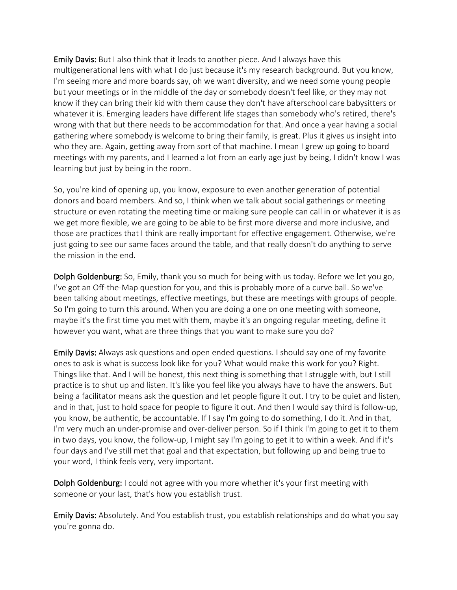Emily Davis: But I also think that it leads to another piece. And I always have this multigenerational lens with what I do just because it's my research background. But you know, I'm seeing more and more boards say, oh we want diversity, and we need some young people but your meetings or in the middle of the day or somebody doesn't feel like, or they may not know if they can bring their kid with them cause they don't have afterschool care babysitters or whatever it is. Emerging leaders have different life stages than somebody who's retired, there's wrong with that but there needs to be accommodation for that. And once a year having a social gathering where somebody is welcome to bring their family, is great. Plus it gives us insight into who they are. Again, getting away from sort of that machine. I mean I grew up going to board meetings with my parents, and I learned a lot from an early age just by being, I didn't know I was learning but just by being in the room.

So, you're kind of opening up, you know, exposure to even another generation of potential donors and board members. And so, I think when we talk about social gatherings or meeting structure or even rotating the meeting time or making sure people can call in or whatever it is as we get more flexible, we are going to be able to be first more diverse and more inclusive, and those are practices that I think are really important for effective engagement. Otherwise, we're just going to see our same faces around the table, and that really doesn't do anything to serve the mission in the end.

Dolph Goldenburg: So, Emily, thank you so much for being with us today. Before we let you go, I've got an Off-the-Map question for you, and this is probably more of a curve ball. So we've been talking about meetings, effective meetings, but these are meetings with groups of people. So I'm going to turn this around. When you are doing a one on one meeting with someone, maybe it's the first time you met with them, maybe it's an ongoing regular meeting, define it however you want, what are three things that you want to make sure you do?

Emily Davis: Always ask questions and open ended questions. I should say one of my favorite ones to ask is what is success look like for you? What would make this work for you? Right. Things like that. And I will be honest, this next thing is something that I struggle with, but I still practice is to shut up and listen. It's like you feel like you always have to have the answers. But being a facilitator means ask the question and let people figure it out. I try to be quiet and listen, and in that, just to hold space for people to figure it out. And then I would say third is follow-up, you know, be authentic, be accountable. If I say I'm going to do something, I do it. And in that, I'm very much an under-promise and over-deliver person. So if I think I'm going to get it to them in two days, you know, the follow-up, I might say I'm going to get it to within a week. And if it's four days and I've still met that goal and that expectation, but following up and being true to your word, I think feels very, very important.

Dolph Goldenburg: I could not agree with you more whether it's your first meeting with someone or your last, that's how you establish trust.

Emily Davis: Absolutely. And You establish trust, you establish relationships and do what you say you're gonna do.